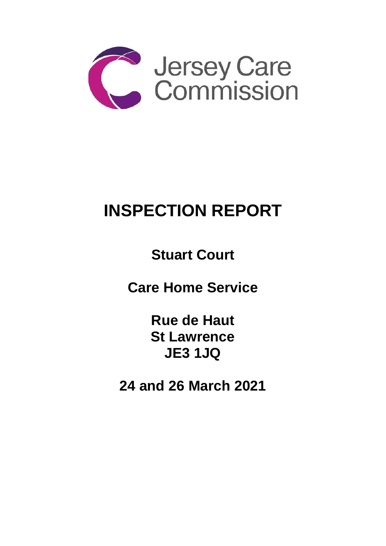

# **INSPECTION REPORT**

**Stuart Court**

**Care Home Service** 

**Rue de Haut St Lawrence JE3 1JQ**

**24 and 26 March 2021**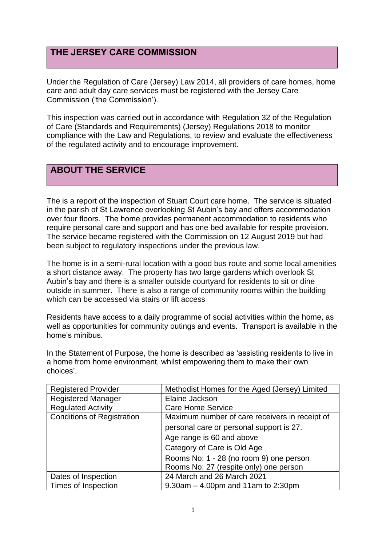# **THE JERSEY CARE COMMISSION**

Under the Regulation of Care (Jersey) Law 2014, all providers of care homes, home care and adult day care services must be registered with the Jersey Care Commission ('the Commission').

This inspection was carried out in accordance with Regulation 32 of the Regulation of Care (Standards and Requirements) (Jersey) Regulations 2018 to monitor compliance with the Law and Regulations, to review and evaluate the effectiveness of the regulated activity and to encourage improvement.

# **ABOUT THE SERVICE**

The is a report of the inspection of Stuart Court care home. The service is situated in the parish of St Lawrence overlooking St Aubin's bay and offers accommodation over four floors. The home provides permanent accommodation to residents who require personal care and support and has one bed available for respite provision. The service became registered with the Commission on 12 August 2019 but had been subject to regulatory inspections under the previous law.

The home is in a semi-rural location with a good bus route and some local amenities a short distance away. The property has two large gardens which overlook St Aubin's bay and there is a smaller outside courtyard for residents to sit or dine outside in summer. There is also a range of community rooms within the building which can be accessed via stairs or lift access

Residents have access to a daily programme of social activities within the home, as well as opportunities for community outings and events. Transport is available in the home's minibus.

In the Statement of Purpose, the home is described as 'assisting residents to live in a home from home environment, whilst empowering them to make their own choices'.

| <b>Registered Provider</b>        | Methodist Homes for the Aged (Jersey) Limited  |
|-----------------------------------|------------------------------------------------|
| <b>Registered Manager</b>         | Elaine Jackson                                 |
| <b>Regulated Activity</b>         | <b>Care Home Service</b>                       |
| <b>Conditions of Registration</b> | Maximum number of care receivers in receipt of |
|                                   | personal care or personal support is 27.       |
|                                   | Age range is 60 and above                      |
|                                   | Category of Care is Old Age                    |
|                                   | Rooms No: 1 - 28 (no room 9) one person        |
|                                   | Rooms No: 27 (respite only) one person         |
| Dates of Inspection               | 24 March and 26 March 2021                     |
| Times of Inspection               | $9.30$ am $- 4.00$ pm and 11am to 2:30pm       |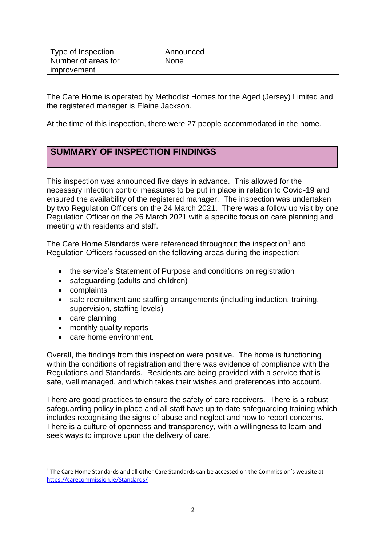| Type of Inspection  | Announced   |
|---------------------|-------------|
| Number of areas for | <b>None</b> |
| improvement         |             |

The Care Home is operated by Methodist Homes for the Aged (Jersey) Limited and the registered manager is Elaine Jackson.

At the time of this inspection, there were 27 people accommodated in the home.

# **SUMMARY OF INSPECTION FINDINGS**

This inspection was announced five days in advance. This allowed for the necessary infection control measures to be put in place in relation to Covid-19 and ensured the availability of the registered manager. The inspection was undertaken by two Regulation Officers on the 24 March 2021. There was a follow up visit by one Regulation Officer on the 26 March 2021 with a specific focus on care planning and meeting with residents and staff.

The Care Home Standards were referenced throughout the inspection<sup>1</sup> and Regulation Officers focussed on the following areas during the inspection:

- the service's Statement of Purpose and conditions on registration
- safeguarding (adults and children)
- complaints
- safe recruitment and staffing arrangements (including induction, training, supervision, staffing levels)
- care planning
- monthly quality reports
- care home environment.

Overall, the findings from this inspection were positive. The home is functioning within the conditions of registration and there was evidence of compliance with the Regulations and Standards. Residents are being provided with a service that is safe, well managed, and which takes their wishes and preferences into account.

There are good practices to ensure the safety of care receivers. There is a robust safeguarding policy in place and all staff have up to date safeguarding training which includes recognising the signs of abuse and neglect and how to report concerns. There is a culture of openness and transparency, with a willingness to learn and seek ways to improve upon the delivery of care.

 $1$  The Care Home Standards and all other Care Standards can be accessed on the Commission's website at [https://carecommission.je/Standards/](https://carecommission.je/standards/)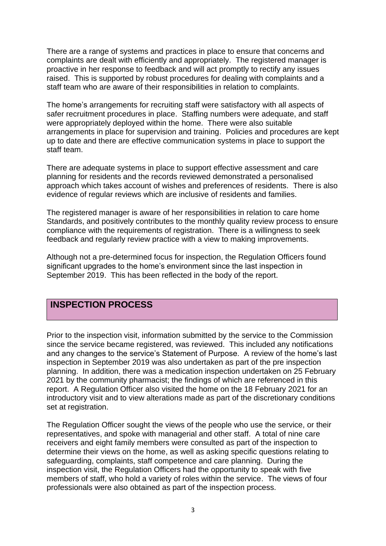There are a range of systems and practices in place to ensure that concerns and complaints are dealt with efficiently and appropriately. The registered manager is proactive in her response to feedback and will act promptly to rectify any issues raised. This is supported by robust procedures for dealing with complaints and a staff team who are aware of their responsibilities in relation to complaints.

The home's arrangements for recruiting staff were satisfactory with all aspects of safer recruitment procedures in place. Staffing numbers were adequate, and staff were appropriately deployed within the home. There were also suitable arrangements in place for supervision and training. Policies and procedures are kept up to date and there are effective communication systems in place to support the staff team.

There are adequate systems in place to support effective assessment and care planning for residents and the records reviewed demonstrated a personalised approach which takes account of wishes and preferences of residents. There is also evidence of regular reviews which are inclusive of residents and families.

The registered manager is aware of her responsibilities in relation to care home Standards, and positively contributes to the monthly quality review process to ensure compliance with the requirements of registration. There is a willingness to seek feedback and regularly review practice with a view to making improvements.

Although not a pre-determined focus for inspection, the Regulation Officers found significant upgrades to the home's environment since the last inspection in September 2019. This has been reflected in the body of the report.

### **INSPECTION PROCESS**

Prior to the inspection visit, information submitted by the service to the Commission since the service became registered, was reviewed. This included any notifications and any changes to the service's Statement of Purpose. A review of the home's last inspection in September 2019 was also undertaken as part of the pre inspection planning. In addition, there was a medication inspection undertaken on 25 February 2021 by the community pharmacist; the findings of which are referenced in this report. A Regulation Officer also visited the home on the 18 February 2021 for an introductory visit and to view alterations made as part of the discretionary conditions set at registration.

The Regulation Officer sought the views of the people who use the service, or their representatives, and spoke with managerial and other staff. A total of nine care receivers and eight family members were consulted as part of the inspection to determine their views on the home, as well as asking specific questions relating to safeguarding, complaints, staff competence and care planning. During the inspection visit, the Regulation Officers had the opportunity to speak with five members of staff, who hold a variety of roles within the service. The views of four professionals were also obtained as part of the inspection process.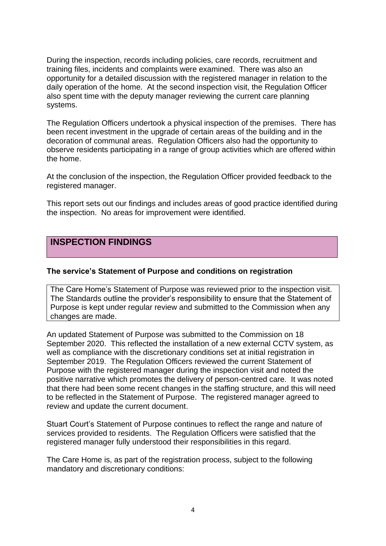During the inspection, records including policies, care records, recruitment and training files, incidents and complaints were examined. There was also an opportunity for a detailed discussion with the registered manager in relation to the daily operation of the home. At the second inspection visit, the Regulation Officer also spent time with the deputy manager reviewing the current care planning systems.

The Regulation Officers undertook a physical inspection of the premises. There has been recent investment in the upgrade of certain areas of the building and in the decoration of communal areas. Regulation Officers also had the opportunity to observe residents participating in a range of group activities which are offered within the home.

At the conclusion of the inspection, the Regulation Officer provided feedback to the registered manager.

This report sets out our findings and includes areas of good practice identified during the inspection. No areas for improvement were identified.

## **INSPECTION FINDINGS**

#### **The service's Statement of Purpose and conditions on registration**

The Care Home's Statement of Purpose was reviewed prior to the inspection visit. The Standards outline the provider's responsibility to ensure that the Statement of Purpose is kept under regular review and submitted to the Commission when any changes are made.

An updated Statement of Purpose was submitted to the Commission on 18 September 2020. This reflected the installation of a new external CCTV system, as well as compliance with the discretionary conditions set at initial registration in September 2019. The Regulation Officers reviewed the current Statement of Purpose with the registered manager during the inspection visit and noted the positive narrative which promotes the delivery of person-centred care. It was noted that there had been some recent changes in the staffing structure, and this will need to be reflected in the Statement of Purpose. The registered manager agreed to review and update the current document.

Stuart Court's Statement of Purpose continues to reflect the range and nature of services provided to residents. The Regulation Officers were satisfied that the registered manager fully understood their responsibilities in this regard.

The Care Home is, as part of the registration process, subject to the following mandatory and discretionary conditions: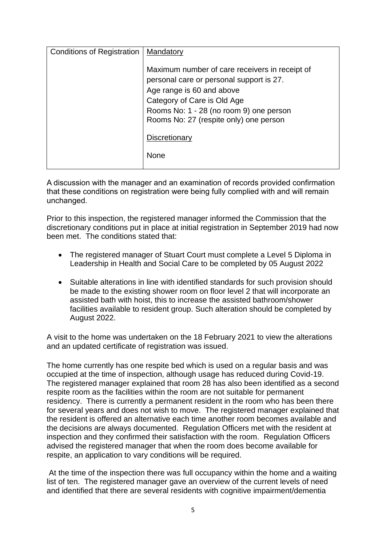| <b>Conditions of Registration</b> | Mandatory                                                                                                                                                                                                                                   |
|-----------------------------------|---------------------------------------------------------------------------------------------------------------------------------------------------------------------------------------------------------------------------------------------|
|                                   | Maximum number of care receivers in receipt of<br>personal care or personal support is 27.<br>Age range is 60 and above<br>Category of Care is Old Age<br>Rooms No: 1 - 28 (no room 9) one person<br>Rooms No: 27 (respite only) one person |
|                                   | Discretionary<br><b>None</b>                                                                                                                                                                                                                |

A discussion with the manager and an examination of records provided confirmation that these conditions on registration were being fully complied with and will remain unchanged.

Prior to this inspection, the registered manager informed the Commission that the discretionary conditions put in place at initial registration in September 2019 had now been met. The conditions stated that:

- The registered manager of Stuart Court must complete a Level 5 Diploma in Leadership in Health and Social Care to be completed by 05 August 2022
- Suitable alterations in line with identified standards for such provision should be made to the existing shower room on floor level 2 that will incorporate an assisted bath with hoist, this to increase the assisted bathroom/shower facilities available to resident group. Such alteration should be completed by August 2022.

A visit to the home was undertaken on the 18 February 2021 to view the alterations and an updated certificate of registration was issued.

The home currently has one respite bed which is used on a regular basis and was occupied at the time of inspection, although usage has reduced during Covid-19. The registered manager explained that room 28 has also been identified as a second respite room as the facilities within the room are not suitable for permanent residency. There is currently a permanent resident in the room who has been there for several years and does not wish to move. The registered manager explained that the resident is offered an alternative each time another room becomes available and the decisions are always documented. Regulation Officers met with the resident at inspection and they confirmed their satisfaction with the room. Regulation Officers advised the registered manager that when the room does become available for respite, an application to vary conditions will be required.

At the time of the inspection there was full occupancy within the home and a waiting list of ten. The registered manager gave an overview of the current levels of need and identified that there are several residents with cognitive impairment/dementia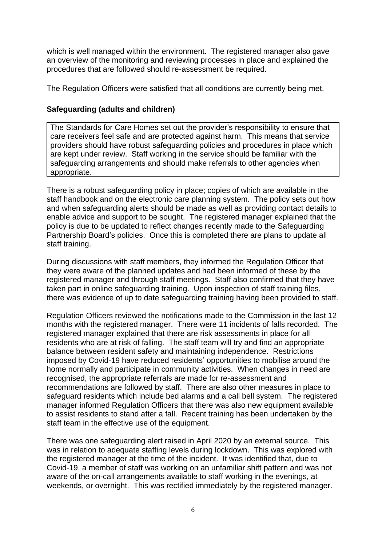which is well managed within the environment. The registered manager also gave an overview of the monitoring and reviewing processes in place and explained the procedures that are followed should re-assessment be required.

The Regulation Officers were satisfied that all conditions are currently being met.

#### **Safeguarding (adults and children)**

The Standards for Care Homes set out the provider's responsibility to ensure that care receivers feel safe and are protected against harm. This means that service providers should have robust safeguarding policies and procedures in place which are kept under review. Staff working in the service should be familiar with the safeguarding arrangements and should make referrals to other agencies when appropriate.

There is a robust safeguarding policy in place; copies of which are available in the staff handbook and on the electronic care planning system. The policy sets out how and when safeguarding alerts should be made as well as providing contact details to enable advice and support to be sought. The registered manager explained that the policy is due to be updated to reflect changes recently made to the Safeguarding Partnership Board's policies. Once this is completed there are plans to update all staff training.

During discussions with staff members, they informed the Regulation Officer that they were aware of the planned updates and had been informed of these by the registered manager and through staff meetings. Staff also confirmed that they have taken part in online safeguarding training. Upon inspection of staff training files, there was evidence of up to date safeguarding training having been provided to staff.

Regulation Officers reviewed the notifications made to the Commission in the last 12 months with the registered manager. There were 11 incidents of falls recorded. The registered manager explained that there are risk assessments in place for all residents who are at risk of falling. The staff team will try and find an appropriate balance between resident safety and maintaining independence. Restrictions imposed by Covid-19 have reduced residents' opportunities to mobilise around the home normally and participate in community activities. When changes in need are recognised, the appropriate referrals are made for re-assessment and recommendations are followed by staff. There are also other measures in place to safeguard residents which include bed alarms and a call bell system. The registered manager informed Regulation Officers that there was also new equipment available to assist residents to stand after a fall. Recent training has been undertaken by the staff team in the effective use of the equipment.

There was one safeguarding alert raised in April 2020 by an external source. This was in relation to adequate staffing levels during lockdown. This was explored with the registered manager at the time of the incident. It was identified that, due to Covid-19, a member of staff was working on an unfamiliar shift pattern and was not aware of the on-call arrangements available to staff working in the evenings, at weekends, or overnight. This was rectified immediately by the registered manager.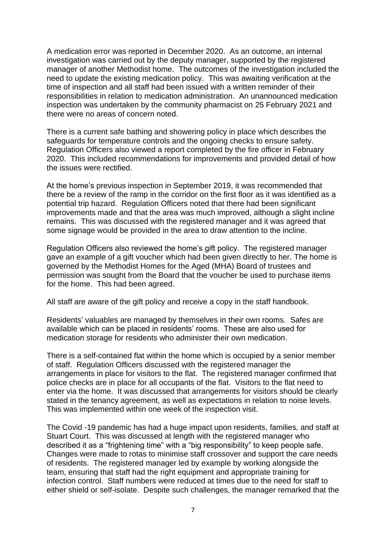A medication error was reported in December 2020. As an outcome, an internal investigation was carried out by the deputy manager, supported by the registered manager of another Methodist home. The outcomes of the investigation included the need to update the existing medication policy. This was awaiting verification at the time of inspection and all staff had been issued with a written reminder of their responsibilities in relation to medication administration. An unannounced medication inspection was undertaken by the community pharmacist on 25 February 2021 and there were no areas of concern noted.

There is a current safe bathing and showering policy in place which describes the safeguards for temperature controls and the ongoing checks to ensure safety. Regulation Officers also viewed a report completed by the fire officer in February 2020. This included recommendations for improvements and provided detail of how the issues were rectified.

At the home's previous inspection in September 2019, it was recommended that there be a review of the ramp in the corridor on the first floor as it was identified as a potential trip hazard. Regulation Officers noted that there had been significant improvements made and that the area was much improved, although a slight incline remains. This was discussed with the registered manager and it was agreed that some signage would be provided in the area to draw attention to the incline.

Regulation Officers also reviewed the home's gift policy. The registered manager gave an example of a gift voucher which had been given directly to her. The home is governed by the Methodist Homes for the Aged (MHA) Board of trustees and permission was sought from the Board that the voucher be used to purchase items for the home. This had been agreed.

All staff are aware of the gift policy and receive a copy in the staff handbook.

Residents' valuables are managed by themselves in their own rooms. Safes are available which can be placed in residents' rooms. These are also used for medication storage for residents who administer their own medication.

There is a self-contained flat within the home which is occupied by a senior member of staff. Regulation Officers discussed with the registered manager the arrangements in place for visitors to the flat. The registered manager confirmed that police checks are in place for all occupants of the flat. Visitors to the flat need to enter via the home. It was discussed that arrangements for visitors should be clearly stated in the tenancy agreement, as well as expectations in relation to noise levels. This was implemented within one week of the inspection visit.

The Covid -19 pandemic has had a huge impact upon residents, families, and staff at Stuart Court. This was discussed at length with the registered manager who described it as a "frightening time" with a "big responsibility" to keep people safe. Changes were made to rotas to minimise staff crossover and support the care needs of residents. The registered manager led by example by working alongside the team, ensuring that staff had the right equipment and appropriate training for infection control. Staff numbers were reduced at times due to the need for staff to either shield or self-isolate. Despite such challenges, the manager remarked that the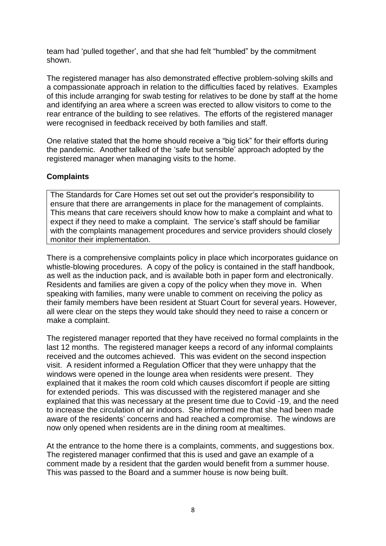team had 'pulled together', and that she had felt "humbled" by the commitment shown.

The registered manager has also demonstrated effective problem-solving skills and a compassionate approach in relation to the difficulties faced by relatives. Examples of this include arranging for swab testing for relatives to be done by staff at the home and identifying an area where a screen was erected to allow visitors to come to the rear entrance of the building to see relatives. The efforts of the registered manager were recognised in feedback received by both families and staff.

One relative stated that the home should receive a "big tick" for their efforts during the pandemic. Another talked of the 'safe but sensible' approach adopted by the registered manager when managing visits to the home.

#### **Complaints**

The Standards for Care Homes set out set out the provider's responsibility to ensure that there are arrangements in place for the management of complaints. This means that care receivers should know how to make a complaint and what to expect if they need to make a complaint. The service's staff should be familiar with the complaints management procedures and service providers should closely monitor their implementation.

There is a comprehensive complaints policy in place which incorporates guidance on whistle-blowing procedures. A copy of the policy is contained in the staff handbook, as well as the induction pack, and is available both in paper form and electronically. Residents and families are given a copy of the policy when they move in. When speaking with families, many were unable to comment on receiving the policy as their family members have been resident at Stuart Court for several years. However, all were clear on the steps they would take should they need to raise a concern or make a complaint.

The registered manager reported that they have received no formal complaints in the last 12 months. The registered manager keeps a record of any informal complaints received and the outcomes achieved. This was evident on the second inspection visit. A resident informed a Regulation Officer that they were unhappy that the windows were opened in the lounge area when residents were present. They explained that it makes the room cold which causes discomfort if people are sitting for extended periods. This was discussed with the registered manager and she explained that this was necessary at the present time due to Covid -19, and the need to increase the circulation of air indoors. She informed me that she had been made aware of the residents' concerns and had reached a compromise. The windows are now only opened when residents are in the dining room at mealtimes.

At the entrance to the home there is a complaints, comments, and suggestions box. The registered manager confirmed that this is used and gave an example of a comment made by a resident that the garden would benefit from a summer house. This was passed to the Board and a summer house is now being built.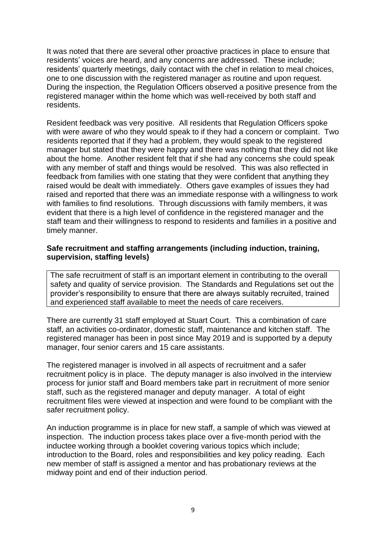It was noted that there are several other proactive practices in place to ensure that residents' voices are heard, and any concerns are addressed. These include; residents' quarterly meetings, daily contact with the chef in relation to meal choices, one to one discussion with the registered manager as routine and upon request. During the inspection, the Regulation Officers observed a positive presence from the registered manager within the home which was well-received by both staff and residents.

Resident feedback was very positive. All residents that Regulation Officers spoke with were aware of who they would speak to if they had a concern or complaint. Two residents reported that if they had a problem, they would speak to the registered manager but stated that they were happy and there was nothing that they did not like about the home. Another resident felt that if she had any concerns she could speak with any member of staff and things would be resolved. This was also reflected in feedback from families with one stating that they were confident that anything they raised would be dealt with immediately. Others gave examples of issues they had raised and reported that there was an immediate response with a willingness to work with families to find resolutions. Through discussions with family members, it was evident that there is a high level of confidence in the registered manager and the staff team and their willingness to respond to residents and families in a positive and timely manner.

#### **Safe recruitment and staffing arrangements (including induction, training, supervision, staffing levels)**

The safe recruitment of staff is an important element in contributing to the overall safety and quality of service provision. The Standards and Regulations set out the provider's responsibility to ensure that there are always suitably recruited, trained and experienced staff available to meet the needs of care receivers.

There are currently 31 staff employed at Stuart Court. This a combination of care staff, an activities co-ordinator, domestic staff, maintenance and kitchen staff. The registered manager has been in post since May 2019 and is supported by a deputy manager, four senior carers and 15 care assistants.

The registered manager is involved in all aspects of recruitment and a safer recruitment policy is in place. The deputy manager is also involved in the interview process for junior staff and Board members take part in recruitment of more senior staff, such as the registered manager and deputy manager. A total of eight recruitment files were viewed at inspection and were found to be compliant with the safer recruitment policy.

An induction programme is in place for new staff, a sample of which was viewed at inspection. The induction process takes place over a five-month period with the inductee working through a booklet covering various topics which include; introduction to the Board, roles and responsibilities and key policy reading. Each new member of staff is assigned a mentor and has probationary reviews at the midway point and end of their induction period.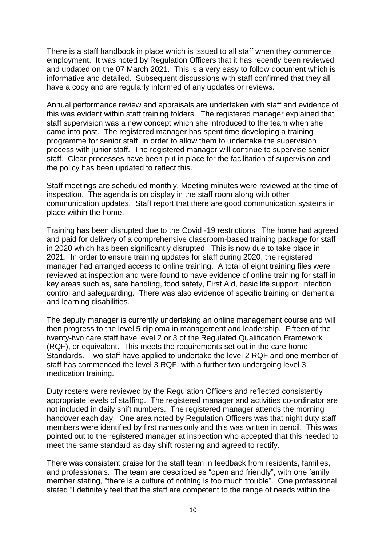There is a staff handbook in place which is issued to all staff when they commence employment. It was noted by Regulation Officers that it has recently been reviewed and updated on the 07 March 2021. This is a very easy to follow document which is informative and detailed. Subsequent discussions with staff confirmed that they all have a copy and are regularly informed of any updates or reviews.

Annual performance review and appraisals are undertaken with staff and evidence of this was evident within staff training folders. The registered manager explained that staff supervision was a new concept which she introduced to the team when she came into post. The registered manager has spent time developing a training programme for senior staff, in order to allow them to undertake the supervision process with junior staff. The registered manager will continue to supervise senior staff. Clear processes have been put in place for the facilitation of supervision and the policy has been updated to reflect this.

Staff meetings are scheduled monthly. Meeting minutes were reviewed at the time of inspection. The agenda is on display in the staff room along with other communication updates. Staff report that there are good communication systems in place within the home.

Training has been disrupted due to the Covid -19 restrictions. The home had agreed and paid for delivery of a comprehensive classroom-based training package for staff in 2020 which has been significantly disrupted. This is now due to take place in 2021. In order to ensure training updates for staff during 2020, the registered manager had arranged access to online training. A total of eight training files were reviewed at inspection and were found to have evidence of online training for staff in key areas such as, safe handling, food safety, First Aid, basic life support, infection control and safeguarding. There was also evidence of specific training on dementia and learning disabilities.

The deputy manager is currently undertaking an online management course and will then progress to the level 5 diploma in management and leadership. Fifteen of the twenty-two care staff have level 2 or 3 of the Regulated Qualification Framework (RQF), or equivalent. This meets the requirements set out in the care home Standards. Two staff have applied to undertake the level 2 RQF and one member of staff has commenced the level 3 RQF, with a further two undergoing level 3 medication training.

Duty rosters were reviewed by the Regulation Officers and reflected consistently appropriate levels of staffing. The registered manager and activities co-ordinator are not included in daily shift numbers. The registered manager attends the morning handover each day. One area noted by Regulation Officers was that night duty staff members were identified by first names only and this was written in pencil. This was pointed out to the registered manager at inspection who accepted that this needed to meet the same standard as day shift rostering and agreed to rectify.

There was consistent praise for the staff team in feedback from residents, families, and professionals. The team are described as "open and friendly", with one family member stating, "there is a culture of nothing is too much trouble". One professional stated "I definitely feel that the staff are competent to the range of needs within the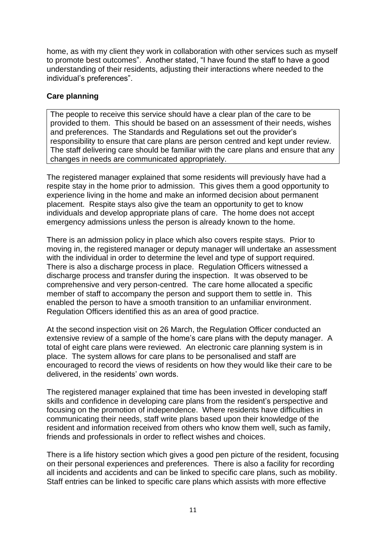home, as with my client they work in collaboration with other services such as myself to promote best outcomes". Another stated, "I have found the staff to have a good understanding of their residents, adjusting their interactions where needed to the individual's preferences".

#### **Care planning**

The people to receive this service should have a clear plan of the care to be provided to them. This should be based on an assessment of their needs, wishes and preferences. The Standards and Regulations set out the provider's responsibility to ensure that care plans are person centred and kept under review. The staff delivering care should be familiar with the care plans and ensure that any changes in needs are communicated appropriately.

The registered manager explained that some residents will previously have had a respite stay in the home prior to admission. This gives them a good opportunity to experience living in the home and make an informed decision about permanent placement. Respite stays also give the team an opportunity to get to know individuals and develop appropriate plans of care. The home does not accept emergency admissions unless the person is already known to the home.

There is an admission policy in place which also covers respite stays. Prior to moving in, the registered manager or deputy manager will undertake an assessment with the individual in order to determine the level and type of support required. There is also a discharge process in place. Regulation Officers witnessed a discharge process and transfer during the inspection. It was observed to be comprehensive and very person-centred. The care home allocated a specific member of staff to accompany the person and support them to settle in. This enabled the person to have a smooth transition to an unfamiliar environment. Regulation Officers identified this as an area of good practice.

At the second inspection visit on 26 March, the Regulation Officer conducted an extensive review of a sample of the home's care plans with the deputy manager. A total of eight care plans were reviewed. An electronic care planning system is in place. The system allows for care plans to be personalised and staff are encouraged to record the views of residents on how they would like their care to be delivered, in the residents' own words.

The registered manager explained that time has been invested in developing staff skills and confidence in developing care plans from the resident's perspective and focusing on the promotion of independence. Where residents have difficulties in communicating their needs, staff write plans based upon their knowledge of the resident and information received from others who know them well, such as family, friends and professionals in order to reflect wishes and choices.

There is a life history section which gives a good pen picture of the resident, focusing on their personal experiences and preferences. There is also a facility for recording all incidents and accidents and can be linked to specific care plans, such as mobility. Staff entries can be linked to specific care plans which assists with more effective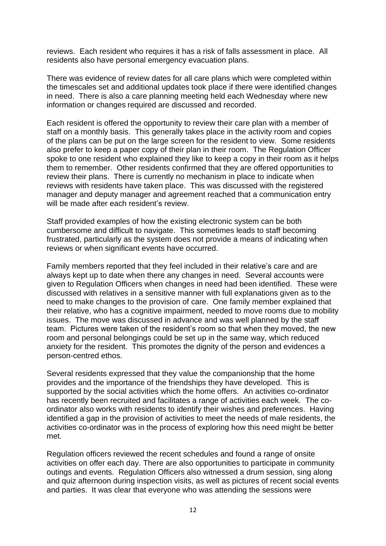reviews. Each resident who requires it has a risk of falls assessment in place. All residents also have personal emergency evacuation plans.

There was evidence of review dates for all care plans which were completed within the timescales set and additional updates took place if there were identified changes in need. There is also a care planning meeting held each Wednesday where new information or changes required are discussed and recorded.

Each resident is offered the opportunity to review their care plan with a member of staff on a monthly basis. This generally takes place in the activity room and copies of the plans can be put on the large screen for the resident to view. Some residents also prefer to keep a paper copy of their plan in their room. The Regulation Officer spoke to one resident who explained they like to keep a copy in their room as it helps them to remember. Other residents confirmed that they are offered opportunities to review their plans. There is currently no mechanism in place to indicate when reviews with residents have taken place. This was discussed with the registered manager and deputy manager and agreement reached that a communication entry will be made after each resident's review.

Staff provided examples of how the existing electronic system can be both cumbersome and difficult to navigate. This sometimes leads to staff becoming frustrated, particularly as the system does not provide a means of indicating when reviews or when significant events have occurred.

Family members reported that they feel included in their relative's care and are always kept up to date when there any changes in need. Several accounts were given to Regulation Officers when changes in need had been identified. These were discussed with relatives in a sensitive manner with full explanations given as to the need to make changes to the provision of care. One family member explained that their relative, who has a cognitive impairment, needed to move rooms due to mobility issues. The move was discussed in advance and was well planned by the staff team. Pictures were taken of the resident's room so that when they moved, the new room and personal belongings could be set up in the same way, which reduced anxiety for the resident. This promotes the dignity of the person and evidences a person-centred ethos.

Several residents expressed that they value the companionship that the home provides and the importance of the friendships they have developed. This is supported by the social activities which the home offers. An activities co-ordinator has recently been recruited and facilitates a range of activities each week. The coordinator also works with residents to identify their wishes and preferences. Having identified a gap in the provision of activities to meet the needs of male residents, the activities co-ordinator was in the process of exploring how this need might be better met.

Regulation officers reviewed the recent schedules and found a range of onsite activities on offer each day. There are also opportunities to participate in community outings and events. Regulation Officers also witnessed a drum session, sing along and quiz afternoon during inspection visits, as well as pictures of recent social events and parties. It was clear that everyone who was attending the sessions were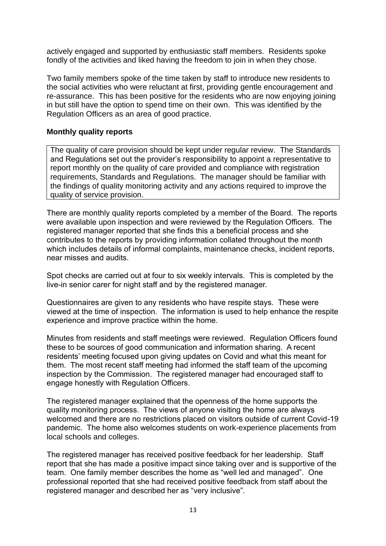actively engaged and supported by enthusiastic staff members. Residents spoke fondly of the activities and liked having the freedom to join in when they chose.

Two family members spoke of the time taken by staff to introduce new residents to the social activities who were reluctant at first, providing gentle encouragement and re-assurance. This has been positive for the residents who are now enjoying joining in but still have the option to spend time on their own. This was identified by the Regulation Officers as an area of good practice.

#### **Monthly quality reports**

The quality of care provision should be kept under regular review. The Standards and Regulations set out the provider's responsibility to appoint a representative to report monthly on the quality of care provided and compliance with registration requirements, Standards and Regulations. The manager should be familiar with the findings of quality monitoring activity and any actions required to improve the quality of service provision.

There are monthly quality reports completed by a member of the Board. The reports were available upon inspection and were reviewed by the Regulation Officers. The registered manager reported that she finds this a beneficial process and she contributes to the reports by providing information collated throughout the month which includes details of informal complaints, maintenance checks, incident reports, near misses and audits.

Spot checks are carried out at four to six weekly intervals. This is completed by the live-in senior carer for night staff and by the registered manager.

Questionnaires are given to any residents who have respite stays. These were viewed at the time of inspection. The information is used to help enhance the respite experience and improve practice within the home.

Minutes from residents and staff meetings were reviewed. Regulation Officers found these to be sources of good communication and information sharing. A recent residents' meeting focused upon giving updates on Covid and what this meant for them. The most recent staff meeting had informed the staff team of the upcoming inspection by the Commission. The registered manager had encouraged staff to engage honestly with Regulation Officers.

The registered manager explained that the openness of the home supports the quality monitoring process. The views of anyone visiting the home are always welcomed and there are no restrictions placed on visitors outside of current Covid-19 pandemic. The home also welcomes students on work-experience placements from local schools and colleges.

The registered manager has received positive feedback for her leadership. Staff report that she has made a positive impact since taking over and is supportive of the team. One family member describes the home as "well led and managed". One professional reported that she had received positive feedback from staff about the registered manager and described her as "very inclusive".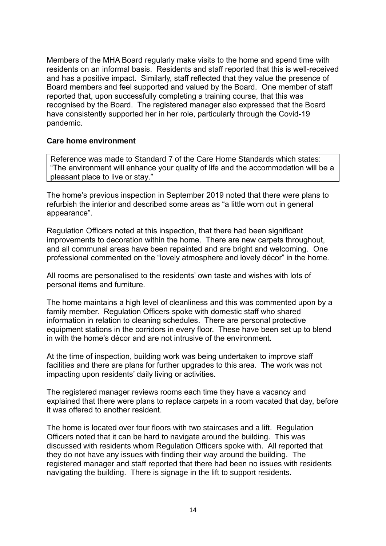Members of the MHA Board regularly make visits to the home and spend time with residents on an informal basis. Residents and staff reported that this is well-received and has a positive impact. Similarly, staff reflected that they value the presence of Board members and feel supported and valued by the Board. One member of staff reported that, upon successfully completing a training course, that this was recognised by the Board. The registered manager also expressed that the Board have consistently supported her in her role, particularly through the Covid-19 pandemic.

#### **Care home environment**

Reference was made to Standard 7 of the Care Home Standards which states: "The environment will enhance your quality of life and the accommodation will be a pleasant place to live or stay."

The home's previous inspection in September 2019 noted that there were plans to refurbish the interior and described some areas as "a little worn out in general appearance".

Regulation Officers noted at this inspection, that there had been significant improvements to decoration within the home. There are new carpets throughout, and all communal areas have been repainted and are bright and welcoming. One professional commented on the "lovely atmosphere and lovely décor" in the home.

All rooms are personalised to the residents' own taste and wishes with lots of personal items and furniture.

The home maintains a high level of cleanliness and this was commented upon by a family member. Regulation Officers spoke with domestic staff who shared information in relation to cleaning schedules. There are personal protective equipment stations in the corridors in every floor. These have been set up to blend in with the home's décor and are not intrusive of the environment.

At the time of inspection, building work was being undertaken to improve staff facilities and there are plans for further upgrades to this area. The work was not impacting upon residents' daily living or activities.

The registered manager reviews rooms each time they have a vacancy and explained that there were plans to replace carpets in a room vacated that day, before it was offered to another resident.

The home is located over four floors with two staircases and a lift. Regulation Officers noted that it can be hard to navigate around the building. This was discussed with residents whom Regulation Officers spoke with. All reported that they do not have any issues with finding their way around the building. The registered manager and staff reported that there had been no issues with residents navigating the building. There is signage in the lift to support residents.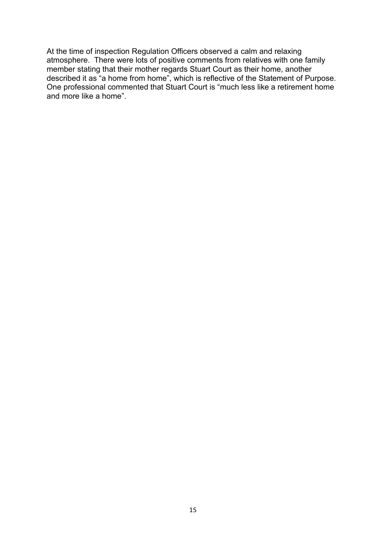At the time of inspection Regulation Officers observed a calm and relaxing atmosphere. There were lots of positive comments from relatives with one family member stating that their mother regards Stuart Court as their home, another described it as "a home from home", which is reflective of the Statement of Purpose. One professional commented that Stuart Court is "much less like a retirement home and more like a home".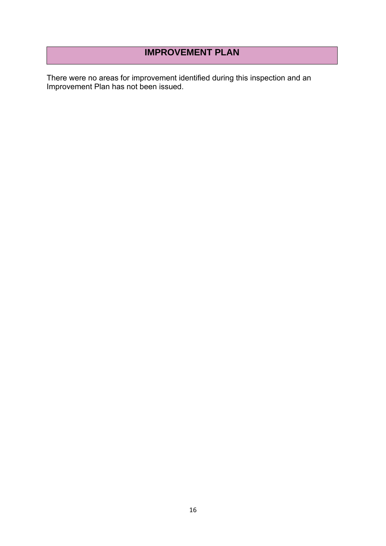# **IMPROVEMENT PLAN**

There were no areas for improvement identified during this inspection and an Improvement Plan has not been issued.